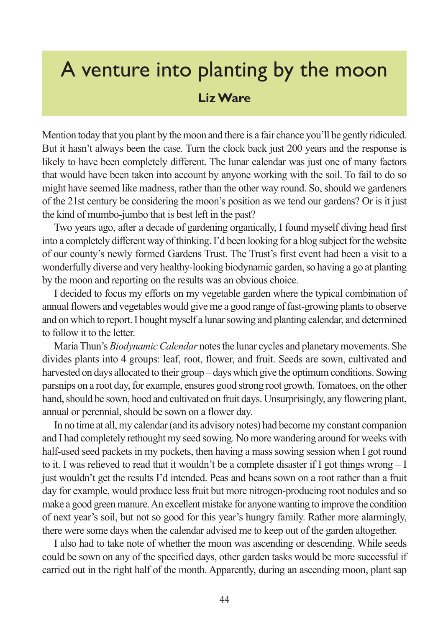## A venture into planting by the moon **Liz Ware**

Mention today that you plant by the moon and there is a fair chance you'll be gently ridiculed. But it hasn't always been the case. Turn the clock back just 200 years and the response is likely to have been completely different. The lunar calendar was just one of many factors that would have been taken into account by anyone working with the soil. To fail to do so might have seemed like madness, rather than the other way round. So, should we gardeners of the 21st century be considering the moon's position as we tend our gardens? Or is it just the kind of mumbo-jumbo that is best left in the past?

Two years ago, after a decade of gardening organically, I found myself diving head first into a completely different way of thinking. I'd been looking for a blog subject for the website of our county's newly formed Gardens Trust. The Trust's first event had been a visit to a wonderfully diverse and very healthy-looking biodynamic garden, so having a go at planting by the moon and reporting on the results was an obvious choice.

I decided to focus my efforts on my vegetable garden where the typical combination of annual flowers and vegetables would give me a good range of fast-growing plants to observe and on which to report. I bought myself a lunar sowing and planting calendar, and determined to follow it to the letter.

Maria Thun's *Biodynamic Calendar* notes the lunar cycles and planetary movements. She divides plants into 4 groups: leaf, root, flower, and fruit. Seeds are sown, cultivated and harvested on days allocated to their group – days which give the optimum conditions. Sowing parsnips on a root day, for example, ensures good strong root growth. Tomatoes, on the other hand, should be sown, hoed and cultivated on fruit days. Unsurprisingly, any flowering plant, annual or perennial, should be sown on a flower day.

In no time at all, my calendar (and its advisory notes) had become my constant companion and I had completely rethought my seed sowing. No more wandering around for weeks with half-used seed packets in my pockets, then having a mass sowing session when I got round to it. I was relieved to read that it wouldn't be a complete disaster if I got things wrong  $-I$ just wouldn't get the results I'd intended. Peas and beans sown on a root rather than a fruit day for example, would produce less fruit but more nitrogen-producing root nodules and so make a good green manure. An excellent mistake for anyone wanting to improve the condition of next year's soil, but not so good for this year's hungry family. Rather more alarmingly, there were some days when the calendar advised me to keep out of the garden altogether.

I also had to take note of whether the moon was ascending or descending. While seeds could be sown on any of the specified days, other garden tasks would be more successful if carried out in the right half of the month. Apparently, during an ascending moon, plant sap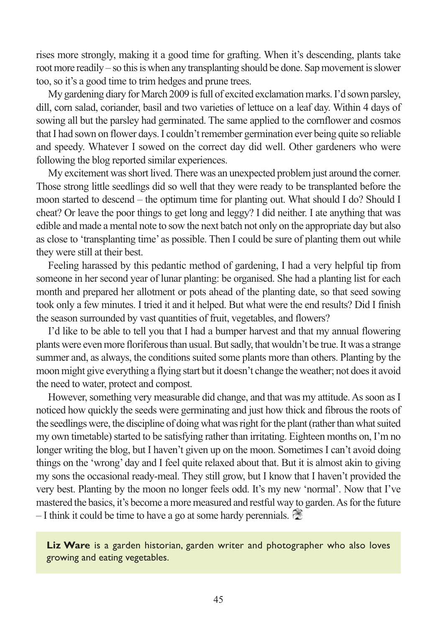rises more strongly, making it a good time for grafting. When it's descending, plants take root more readily – so this is when any transplanting should be done. Sap movement is slower too, so it's a good time to trim hedges and prune trees.

My gardening diary for March 2009 is full of excited exclamation marks. I'd sown parsley, dill, corn salad, coriander, basil and two varieties of lettuce on a leaf day. Within 4 days of sowing all but the parsley had germinated. The same applied to the cornflower and cosmos that I had sown on flower days. I couldn't remember germination ever being quite so reliable and speedy. Whatever I sowed on the correct day did well. Other gardeners who were following the blog reported similar experiences.

My excitement was short lived. There was an unexpected problem just around the corner. Those strong little seedlings did so well that they were ready to be transplanted before the moon started to descend – the optimum time for planting out. What should I do? Should I cheat? Or leave the poor things to get long and leggy? I did neither. I ate anything that was edible and made a mental note to sow the next batch not only on the appropriate day but also as close to 'transplanting time' as possible. Then I could be sure of planting them out while they were still at their best.

Feeling harassed by this pedantic method of gardening, I had a very helpful tip from someone in her second year of lunar planting: be organised. She had a planting list for each month and prepared her allotment or pots ahead of the planting date, so that seed sowing took only a few minutes. I tried it and it helped. But what were the end results? Did I finish the season surrounded by vast quantities of fruit, vegetables, and flowers?

I'd like to be able to tell you that I had a bumper harvest and that my annual flowering plants were even more floriferous than usual. But sadly, that wouldn't be true. It was a strange summer and, as always, the conditions suited some plants more than others. Planting by the moon might give everything a flying start but it doesn't change the weather; not does it avoid the need to water, protect and compost.

However, something very measurable did change, and that was my attitude. As soon as I noticed how quickly the seeds were germinating and just how thick and fibrous the roots of the seedlings were, the discipline of doing what was right for the plant (rather than what suited my own timetable) started to be satisfying rather than irritating. Eighteen months on, I'm no longer writing the blog, but I haven't given up on the moon. Sometimes I can't avoid doing things on the 'wrong' day and I feel quite relaxed about that. But it is almost akin to giving my sons the occasional ready-meal. They still grow, but I know that I haven't provided the very best. Planting by the moon no longer feels odd. It's my new 'normal'. Now that I've mastered the basics, it's become a more measured and restful way to garden. As for the future  $-$  I think it could be time to have a go at some hardy perennials.

**Liz Ware** is a garden historian, garden writer and photographer who also loves growing and eating vegetables.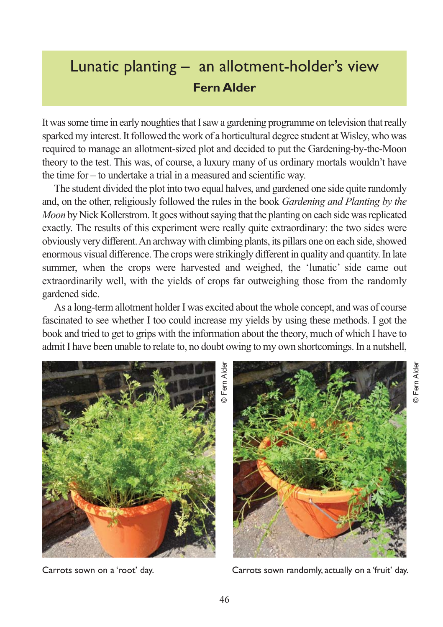## Lunatic planting – an allotment-holder's view **Fern Alder**

It was some time in early noughties that I saw a gardening programme on television that really sparked my interest. It followed the work of a horticultural degree student at Wisley, who was required to manage an allotment-sized plot and decided to put the Gardening-by-the-Moon theory to the test. This was, of course, a luxury many of us ordinary mortals wouldn't have the time for – to undertake a trial in a measured and scientific way.

The student divided the plot into two equal halves, and gardened one side quite randomly and, on the other, religiously followed the rules in the book *Gardening and Planting by the Moon* by Nick Kollerstrom. It goes without saying that the planting on each side was replicated exactly. The results of this experiment were really quite extraordinary: the two sides were obviously very different. An archway with climbing plants, its pillars one on each side, showed enormous visual difference. The crops were strikingly different in quality and quantity. In late summer, when the crops were harvested and weighed, the 'lunatic' side came out extraordinarily well, with the yields of crops far outweighing those from the randomly gardened side.

As a long-term allotment holder I was excited about the whole concept, and was of course fascinated to see whether I too could increase my yields by using these methods. I got the book and tried to get to grips with the information about the theory, much of which I have to admit I have been unable to relate to, no doubt owing to my own shortcomings. In a nutshell,